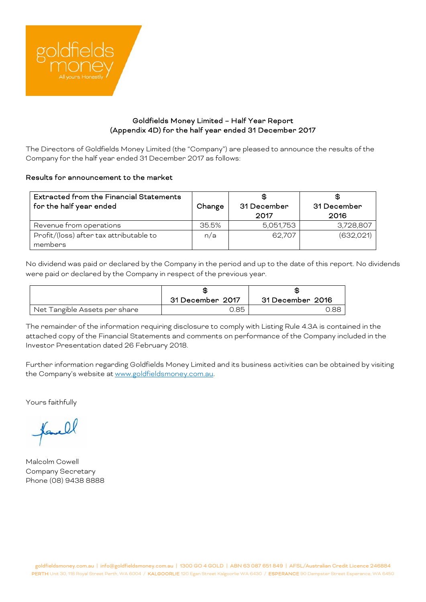

## Goldfields Money Limited – Half Year Report (Appendix 4D) for the half year ended 31 December 2017

The Directors of Goldfields Money Limited (the "Company") are pleased to announce the results of the Company for the half year ended 31 December 2017 as follows:

## Results for announcement to the market

| <b>Extracted from the Financial Statements</b> |        |             |             |
|------------------------------------------------|--------|-------------|-------------|
| for the half year ended                        | Change | 31 December | 31 December |
|                                                |        | 2017        | 2016        |
| Revenue from operations                        | 35.5%  | 5,051,753   | 3,728,807   |
| Profit/(loss) after tax attributable to        | n/a    | 62,707      | (632,021)   |
| members                                        |        |             |             |

No dividend was paid or declared by the Company in the period and up to the date of this report. No dividends were paid or declared by the Company in respect of the previous year.

|                               | 31 December 2017 | 31 December 2016 |
|-------------------------------|------------------|------------------|
| Net Tangible Assets per share | 0.85             | ) RF             |

The remainder of the information requiring disclosure to comply with Listing Rule 4.3A is contained in the attached copy of the Financial Statements and comments on performance of the Company included in the Investor Presentation dated 26 February 2018.

Further information regarding Goldfields Money Limited and its business activities can be obtained by visiting the Company's website at [www.goldfieldsmoney.com.au.](http://www.goldfieldsmoney.com.au/)

Yours faithfully

faill

Malcolm Cowell Company Secretary Phone (08) 9438 8888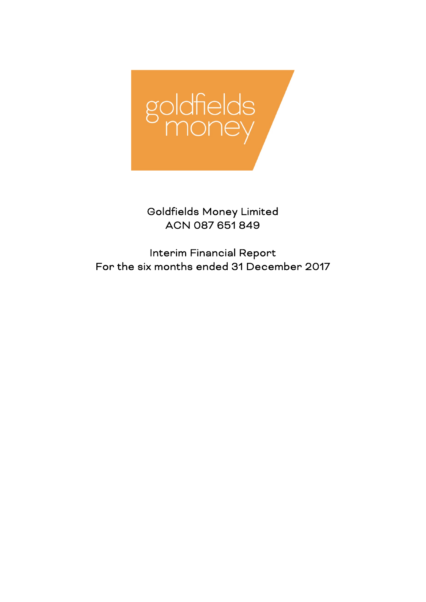

Goldfields Money Limited ACN 087 651 849

Interim Financial Report For the six months ended 31 December 2017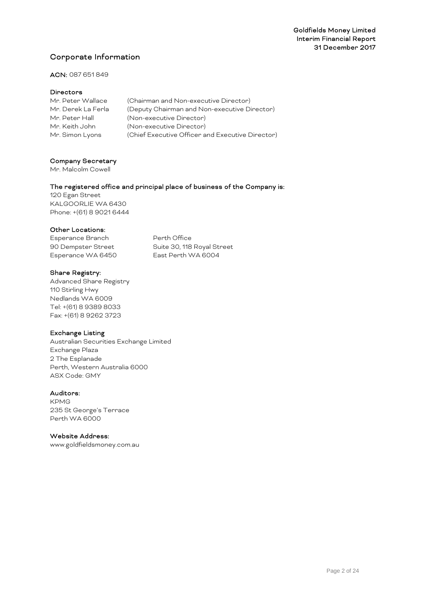## Corporate Information

## ACN: 087 651 849

#### Directors

| Mr. Peter Wallace  | (Chairman and Non-executive Director)            |
|--------------------|--------------------------------------------------|
| Mr. Derek La Ferla | (Deputy Chairman and Non-executive Director)     |
| Mr. Peter Hall     | (Non-executive Director)                         |
| Mr. Keith John     | (Non-executive Director)                         |
| Mr. Simon Lyons    | (Chief Executive Officer and Executive Director) |

## Company Secretary

Mr. Malcolm Cowell

#### The registered office and principal place of business of the Company is:

120 Egan Street KALGOORLIE WA 6430 Phone: +(61) 8 9021 6444

#### Other Locations:

Esperance Branch Perth Office Esperance WA 6450

90 Dempster Street Suite 30, 118 Royal Street<br>Esperance WA 6450 East Perth WA 6004

## Share Registry:

Advanced Share Registry 110 Stirling Hwy Nedlands WA 6009 Tel: +(61) 8 9389 8033 Fax: +(61) 8 9262 3723

## Exchange Listing

Australian Securities Exchange Limited Exchange Plaza 2 The Esplanade Perth, Western Australia 6000 ASX Code: GMY

#### Auditors:

KPMG 235 St George's Terrace Perth WA 6000

## Website Address:

[www.goldfieldsmoney.com.au](http://www.goldfieldsmoney.com.au/)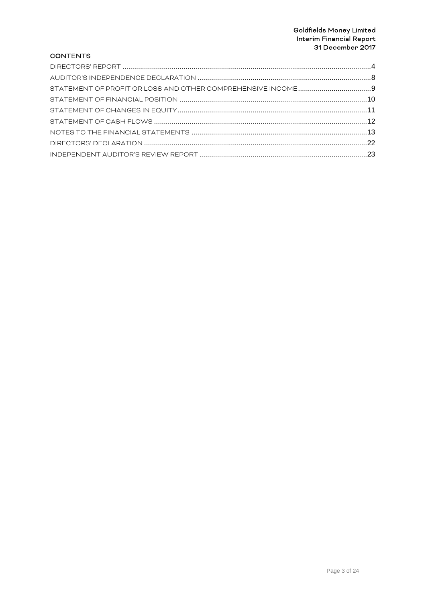# Goldfields Money Limited<br>Interim Financial Report<br>31 December 2017

## **CONTENTS**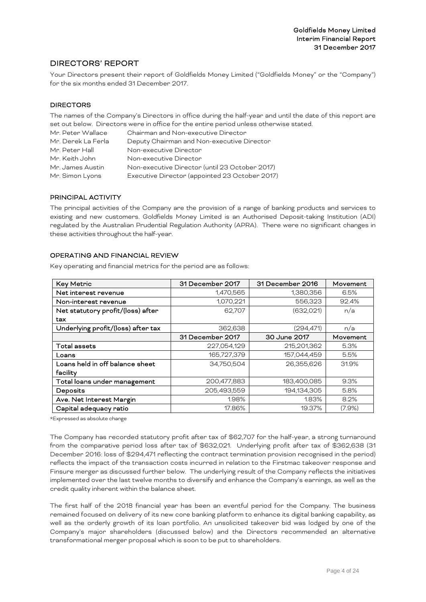## <span id="page-4-0"></span>DIRECTORS' REPORT

Your Directors present their report of Goldfields Money Limited ("Goldfields Money" or the "Company") for the six months ended 31 December 2017.

## DIRECTORS

The names of the Company's Directors in office during the half-year and until the date of this report are set out below. Directors were in office for the entire period unless otherwise stated.

| Mr. Peter Wallace  | Chairman and Non-executive Director            |
|--------------------|------------------------------------------------|
| Mr. Derek La Ferla | Deputy Chairman and Non-executive Director     |
| Mr. Peter Hall     | Non-executive Director                         |
| Mr. Keith John     | Non-executive Director                         |
| Mr. James Austin   | Non-executive Director (until 23 October 2017) |
| Mr. Simon Lyons    | Executive Director (appointed 23 October 2017) |

## PRINCIPAL ACTIVITY

The principal activities of the Company are the provision of a range of banking products and services to existing and new customers. Goldfields Money Limited is an Authorised Deposit-taking Institution (ADI) regulated by the Australian Prudential Regulation Authority (APRA). There were no significant changes in these activities throughout the half-year.

#### OPERATING AND FINANCIAL REVIEW

Key operating and financial metrics for the period are as follows:

| Key Metric                         | 31 December 2017 | 31 December 2016 | Movement  |
|------------------------------------|------------------|------------------|-----------|
| Net interest revenue               | 1,470,565        | 1,380,356        | 6.5%      |
| Non-interest revenue               | 1,070,221        | 556,323          | 92.4%     |
| Net statutory profit/(loss) after  | 62,707           | (632,021)        | n/a       |
| tax                                |                  |                  |           |
| Underlying profit/(loss) after tax | 362,638          | (294,471)        | n/a       |
|                                    | 31 December 2017 | 30 June 2017     | Movement  |
| <b>Total assets</b>                | 227,054,129      | 215,201,362      | 5.3%      |
| Loans                              | 165,727,379      | 157,044,459      | 5.5%      |
| Loans held in off balance sheet    | 34.750.504       | 26.355.626       | 31.9%     |
| facility                           |                  |                  |           |
| Total loans under management       | 200,477,883      | 183,400,085      | 9.3%      |
| Deposits                           | 205.493.559      | 194.134.305      | 5.8%      |
| Ave. Net Interest Margin           | 1.98%            | 1.83%            | 8.2%      |
| Capital adequacy ratio             | 17.86%           | 19.37%           | $(7.9\%)$ |

\*Expressed as absolute change

The Company has recorded statutory profit after tax of \$62,707 for the half-year, a strong turnaround from the comparative period loss after tax of \$632,021. Underlying profit after tax of \$362,638 (31 December 2016: loss of \$294,471 reflecting the contract termination provision recognised in the period) reflects the impact of the transaction costs incurred in relation to the Firstmac takeover response and Finsure merger as discussed further below. The underlying result of the Company reflects the initiatives implemented over the last twelve months to diversify and enhance the Company's earnings, as well as the credit quality inherent within the balance sheet.

The first half of the 2018 financial year has been an eventful period for the Company. The business remained focused on delivery of its new core banking platform to enhance its digital banking capability, as well as the orderly growth of its loan portfolio. An unsolicited takeover bid was lodged by one of the Company's major shareholders (discussed below) and the Directors recommended an alternative transformational merger proposal which is soon to be put to shareholders.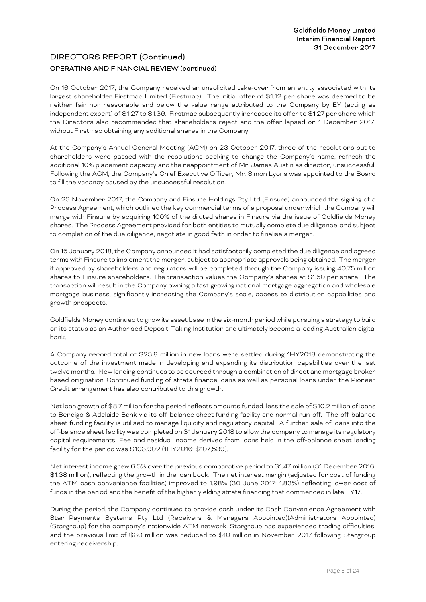## DIRECTORS REPORT (Continued) OPERATING AND FINANCIAL REVIEW (continued)

On 16 October 2017, the Company received an unsolicited take-over from an entity associated with its largest shareholder Firstmac Limited (Firstmac). The initial offer of \$1.12 per share was deemed to be neither fair nor reasonable and below the value range attributed to the Company by EY (acting as independent expert) of \$1.27 to \$1.39. Firstmac subsequently increased its offer to \$1.27 per share which the Directors also recommended that shareholders reject and the offer lapsed on 1 December 2017, without Firstmac obtaining any additional shares in the Company.

At the Company's Annual General Meeting (AGM) on 23 October 2017, three of the resolutions put to shareholders were passed with the resolutions seeking to change the Company's name, refresh the additional 10% placement capacity and the reappointment of Mr. James Austin as director, unsuccessful. Following the AGM, the Company's Chief Executive Officer, Mr. Simon Lyons was appointed to the Board to fill the vacancy caused by the unsuccessful resolution.

On 23 November 2017, the Company and Finsure Holdings Pty Ltd (Finsure) announced the signing of a Process Agreement, which outlined the key commercial terms of a proposal under which the Company will merge with Finsure by acquiring 100% of the diluted shares in Finsure via the issue of Goldfields Money shares. The Process Agreement provided for both entities to mutually complete due diligence, and subject to completion of the due diligence, negotiate in good faith in order to finalise a merger.

On 15 January 2018, the Company announced it had satisfactorily completed the due diligence and agreed terms with Finsure to implement the merger, subject to appropriate approvals being obtained. The merger if approved by shareholders and regulators will be completed through the Company issuing 40.75 million shares to Finsure shareholders. The transaction values the Company's shares at \$1.50 per share. The transaction will result in the Company owning a fast growing national mortgage aggregation and wholesale mortgage business, significantly increasing the Company's scale, access to distribution capabilities and growth prospects.

Goldfields Money continued to grow its asset base in the six-month period while pursuing a strategy to build on its status as an Authorised Deposit-Taking Institution and ultimately become a leading Australian digital bank.

A Company record total of \$23.8 million in new loans were settled during 1HY2018 demonstrating the outcome of the investment made in developing and expanding its distribution capabilities over the last twelve months. New lending continues to be sourced through a combination of direct and mortgage broker based origination. Continued funding of strata finance loans as well as personal loans under the Pioneer Credit arrangement has also contributed to this growth.

Net loan growth of \$8.7 million for the period reflects amounts funded, less the sale of \$10.2 million of loans to Bendigo & Adelaide Bank via its off-balance sheet funding facility and normal run-off. The off-balance sheet funding facility is utilised to manage liquidity and regulatory capital. A further sale of loans into the off-balance sheet facility was completed on 31 January 2018 to allow the company to manage its regulatory capital requirements. Fee and residual income derived from loans held in the off-balance sheet lending facility for the period was \$103,902 (1HY2016: \$107,539).

Net interest income grew 6.5% over the previous comparative period to \$1.47 million (31 December 2016: \$1.38 million), reflecting the growth in the loan book. The net interest margin (adjusted for cost of funding the ATM cash convenience facilities) improved to 1.98% (30 June 2017: 1.83%) reflecting lower cost of funds in the period and the benefit of the higher yielding strata financing that commenced in late FY17.

During the period, the Company continued to provide cash under its Cash Convenience Agreement with Star Payments Systems Pty Ltd (Receivers & Managers Appointed)(Administrators Appointed) (Stargroup) for the company's nationwide ATM network. Stargroup has experienced trading difficulties, and the previous limit of \$30 million was reduced to \$10 million in November 2017 following Stargroup entering receivership.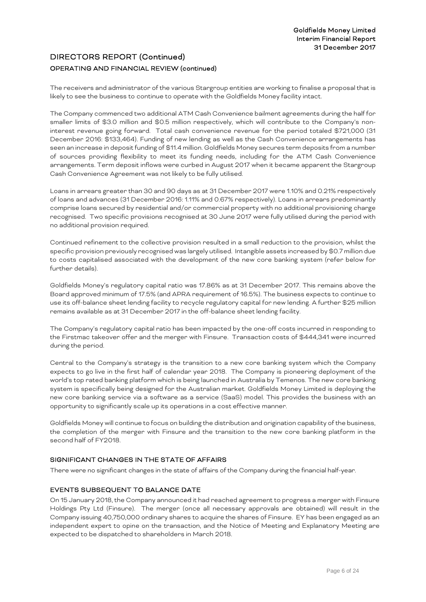## DIRECTORS REPORT (Continued) OPERATING AND FINANCIAL REVIEW (continued)

The receivers and administrator of the various Stargroup entities are working to finalise a proposal that is likely to see the business to continue to operate with the Goldfields Money facility intact.

The Company commenced two additional ATM Cash Convenience bailment agreements during the half for smaller limits of \$3.0 million and \$0.5 million respectively, which will contribute to the Company's noninterest revenue going forward. Total cash convenience revenue for the period totaled \$721,000 (31 December 2016: \$133,464). Funding of new lending as well as the Cash Convenience arrangements has seen an increase in deposit funding of \$11.4 million. Goldfields Money secures term deposits from a number of sources providing flexibility to meet its funding needs, including for the ATM Cash Convenience arrangements. Term deposit inflows were curbed in August 2017 when it became apparent the Stargroup Cash Convenience Agreement was not likely to be fully utilised.

Loans in arrears greater than 30 and 90 days as at 31 December 2017 were 1.10% and 0.21% respectively of loans and advances (31 December 2016: 1.11% and 0.67% respectively). Loans in arrears predominantly comprise loans secured by residential and/or commercial property with no additional provisioning charge recognised. Two specific provisions recognised at 30 June 2017 were fully utilised during the period with no additional provision required.

Continued refinement to the collective provision resulted in a small reduction to the provision, whilst the specific provision previously recognised was largely utilised. Intangible assets increased by \$0.7 million due to costs capitalised associated with the development of the new core banking system (refer below for further details).

Goldfields Money's regulatory capital ratio was 17.86% as at 31 December 2017. This remains above the Board approved minimum of 17.5% (and APRA requirement of 16.5%). The business expects to continue to use its off-balance sheet lending facility to recycle regulatory capital for new lending. A further \$25 million remains available as at 31 December 2017 in the off-balance sheet lending facility.

The Company's regulatory capital ratio has been impacted by the one-off costs incurred in responding to the Firstmac takeover offer and the merger with Finsure. Transaction costs of \$444,341 were incurred during the period.

Central to the Company's strategy is the transition to a new core banking system which the Company expects to go live in the first half of calendar year 2018. The Company is pioneering deployment of the world's top rated banking platform which is being launched in Australia by Temenos. The new core banking system is specifically being designed for the Australian market. Goldfields Money Limited is deploying the new core banking service via a software as a service (SaaS) model. This provides the business with an opportunity to significantly scale up its operations in a cost effective manner.

Goldfields Money will continue to focus on building the distribution and origination capability of the business, the completion of the merger with Finsure and the transition to the new core banking platform in the second half of FY2018.

## SIGNIFICANT CHANGES IN THE STATE OF AFFAIRS

There were no significant changes in the state of affairs of the Company during the financial half-year.

## EVENTS SUBSEQUENT TO BALANCE DATE

On 15 January 2018, the Company announced it had reached agreement to progress a merger with Finsure Holdings Pty Ltd (Finsure). The merger (once all necessary approvals are obtained) will result in the Company issuing 40,750,000 ordinary shares to acquire the shares of Finsure. EY has been engaged as an independent expert to opine on the transaction, and the Notice of Meeting and Explanatory Meeting are expected to be dispatched to shareholders in March 2018.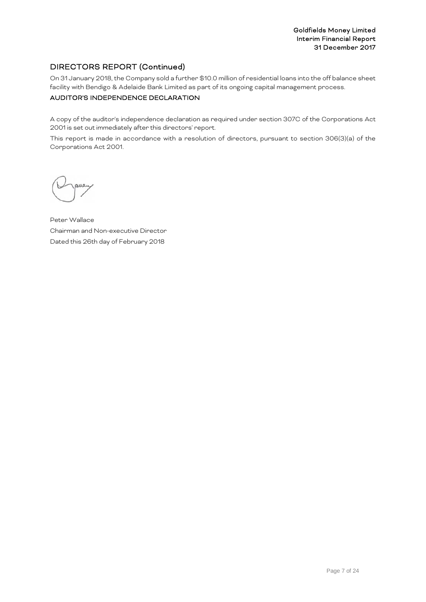## DIRECTORS REPORT (Continued)

On 31 January 2018, the Company sold a further \$10.0 million of residential loans into the off balance sheet facility with Bendigo & Adelaide Bank Limited as part of its ongoing capital management process.

## AUDITOR'S INDEPENDENCE DECLARATION

A copy of the auditor's independence declaration as required under section 307C of the Corporations Act 2001 is set out immediately after this directors' report.

This report is made in accordance with a resolution of directors, pursuant to section 306(3)(a) of the Corporations Act 2001.

Peter Wallace Chairman and Non-executive Director Dated this 26th day of February 2018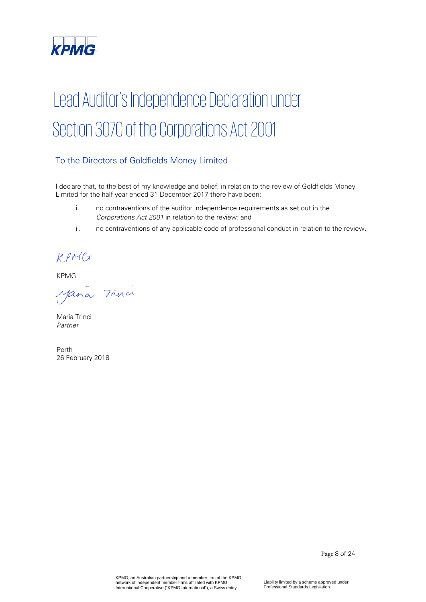

## Lead Auditor's Independence Declaration under Section 307C of the Corporations Act 2001

## To the Directors of Goldfields Money Limited

I declare that, to the best of my knowledge and belief, in relation to the review of Goldfields Money Limited for the half-year ended 31 December 2017 there have been:

- i. no contraventions of the auditor independence requirements as set out in the Corporations Act 2001 in relation to the review; and
- ii. no contraventions of any applicable code of professional conduct in relation to the review.

KPMC+

KPMG

Mana Trina

Maria Trinci Partner

Perth 26 February 2018

Page 8 of 24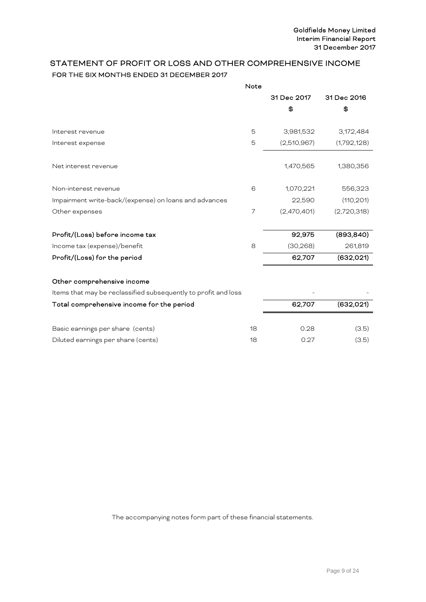## <span id="page-9-0"></span>STATEMENT OF PROFIT OR LOSS AND OTHER COMPREHENSIVE INCOME FOR THE SIX MONTHS ENDED 31 DECEMBER 2017

|                                                                | <b>Note</b>    |             |             |
|----------------------------------------------------------------|----------------|-------------|-------------|
|                                                                |                | 31 Dec 2017 | 31 Dec 2016 |
|                                                                |                | \$          | \$          |
|                                                                |                |             |             |
| Interest revenue                                               | 5              | 3,981,532   | 3,172,484   |
| Interest expense                                               | 5              | (2,510,967) | (1,792,128) |
| Net interest revenue                                           |                | 1,470,565   | 1,380,356   |
| Non-interest revenue                                           | 6              | 1,070,221   | 556,323     |
| Impairment write-back/(expense) on loans and advances          |                | 22,590      | (110, 201)  |
| Other expenses                                                 | $\overline{7}$ | (2,470,401) | (2,720,318) |
|                                                                |                |             |             |
| Profit/(Loss) before income tax                                |                | 92,975      | (893, 840)  |
| Income tax (expense)/benefit                                   | 8              | (30, 268)   | 261,819     |
| Profit/(Loss) for the period                                   |                | 62,707      | (632,021)   |
| Other comprehensive income                                     |                |             |             |
| Items that may be reclassified subsequently to profit and loss |                |             |             |
| Total comprehensive income for the period                      |                | 62,707      | (632, 021)  |
|                                                                |                |             |             |
| Basic earnings per share (cents)                               | 18             | 0.28        | (3.5)       |
| Diluted earnings per share (cents)                             | 18             | 0.27        | (3.5)       |

The accompanying notes form part of these financial statements.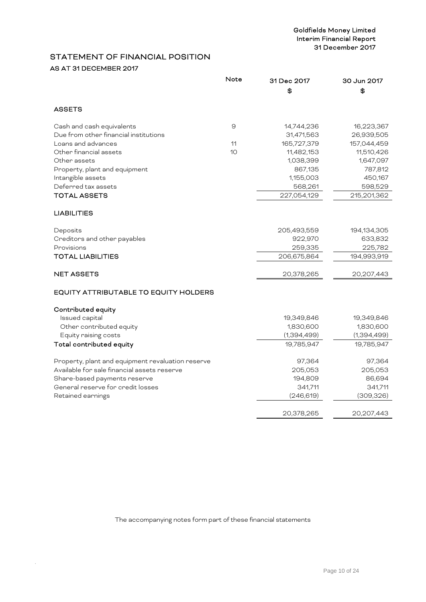## <span id="page-10-0"></span>STATEMENT OF FINANCIAL POSITION AS AT 31 DECEMBER 2017

|                                                   | Note | 31 Dec 2017 | 30 Jun 2017 |
|---------------------------------------------------|------|-------------|-------------|
|                                                   |      | \$          | \$          |
| <b>ASSETS</b>                                     |      |             |             |
| Cash and cash equivalents                         | 9    | 14,744,236  | 16,223,367  |
| Due from other financial institutions             |      | 31,471,563  | 26,939,505  |
| Loans and advances                                | 11   | 165,727,379 | 157,044,459 |
| Other financial assets                            | 10   | 11,482,153  | 11,510,426  |
| Other assets                                      |      | 1,038,399   | 1,647,097   |
| Property, plant and equipment                     |      | 867,135     | 787,812     |
| Intangible assets                                 |      | 1,155,003   | 450,167     |
| Deferred tax assets                               |      | 568,261     | 598,529     |
| <b>TOTAL ASSETS</b>                               |      | 227,054,129 | 215,201,362 |
| <b>LIABILITIES</b>                                |      |             |             |
| Deposits                                          |      | 205,493,559 | 194,134,305 |
| Creditors and other payables                      |      | 922,970     | 633,832     |
| Provisions                                        |      | 259,335     | 225,782     |
| <b>TOTAL LIABILITIES</b>                          |      | 206,675,864 | 194,993,919 |
|                                                   |      |             |             |
| <b>NET ASSETS</b>                                 |      | 20,378,265  | 20,207,443  |
| EQUITY ATTRIBUTABLE TO EQUITY HOLDERS             |      |             |             |
| Contributed equity                                |      |             |             |
| Issued capital                                    |      | 19,349,846  | 19,349,846  |
| Other contributed equity                          |      | 1,830,600   | 1,830,600   |
| Equity raising costs                              |      | (1,394,499) | (1,394,499) |
| Total contributed equity                          |      | 19,785,947  | 19,785,947  |
| Property, plant and equipment revaluation reserve |      | 97,364      | 97,364      |
| Available for sale financial assets reserve       |      | 205,053     | 205,053     |
| Share-based payments reserve                      |      | 194,809     | 86,694      |
| General reserve for credit losses                 |      | 341,711     | 341,711     |
| Retained earnings                                 |      | (246, 619)  | (309, 326)  |
|                                                   |      | 20,378,265  | 20,207,443  |
|                                                   |      |             |             |

The accompanying notes form part of these financial statements

.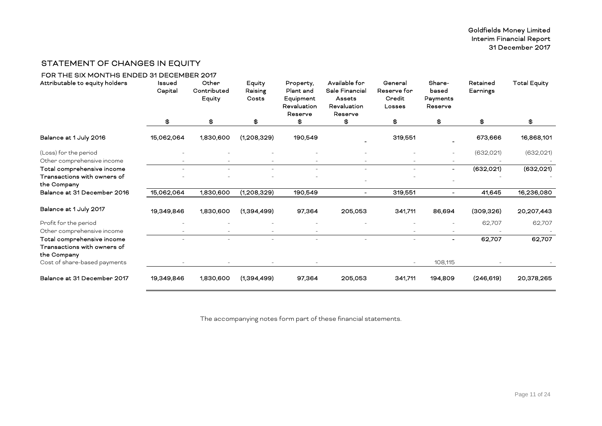## STATEMENT OF CHANGES IN EQUITY

| FOR THE SIX MONTHS ENDED 31 DECEMBER 2017 |  |
|-------------------------------------------|--|
|-------------------------------------------|--|

<span id="page-11-0"></span>

| Attributable to equity holders                            | Issued<br>Capital | Other<br>Contributed<br>Equity | Equity<br>Raising<br>Costs | Property,<br>Plant and<br>Equipment<br>Revaluation<br>Reserve | Available for<br>Sale Financial<br>Assets<br>Revaluation<br>Reserve | General<br>Reserve for<br>Credit<br>Losses | Share-<br>based<br>Payments<br>Reserve | Retained<br>Earnings | <b>Total Equity</b> |
|-----------------------------------------------------------|-------------------|--------------------------------|----------------------------|---------------------------------------------------------------|---------------------------------------------------------------------|--------------------------------------------|----------------------------------------|----------------------|---------------------|
|                                                           | \$                | \$                             | \$                         | \$                                                            | \$                                                                  | \$                                         | \$                                     | \$                   | \$                  |
| Balance at 1 July 2016                                    | 15,062,064        | 1,830,600                      | (1,208,329)                | 190,549                                                       |                                                                     | 319,551                                    |                                        | 673,666              | 16,868,101          |
| (Loss) for the period                                     |                   |                                |                            |                                                               |                                                                     |                                            |                                        | (632,021)            | (632,021)           |
| Other comprehensive income                                |                   |                                |                            |                                                               |                                                                     |                                            |                                        |                      |                     |
| Total comprehensive income                                |                   |                                |                            |                                                               |                                                                     |                                            | $\sim$                                 | (632,021)            | (632,021)           |
| Transactions with owners of                               |                   |                                |                            |                                                               |                                                                     |                                            |                                        |                      |                     |
| the Company                                               |                   |                                |                            |                                                               |                                                                     |                                            |                                        |                      |                     |
| Balance at 31 December 2016                               | 15,062,064        | 1,830,600                      | (1,208,329)                | 190,549                                                       | $\overline{\phantom{a}}$                                            | 319,551                                    |                                        | 41,645               | 16,236,080          |
| Balance at 1 July 2017                                    | 19,349,846        | 1,830,600                      | (1,394,499)                | 97,364                                                        | 205,053                                                             | 341,711                                    | 86,694                                 | (309, 326)           | 20,207,443          |
| Profit for the period                                     |                   |                                |                            |                                                               |                                                                     |                                            |                                        | 62,707               | 62,707              |
| Other comprehensive income                                |                   |                                |                            | $\overline{\phantom{a}}$                                      |                                                                     |                                            | $\sim$                                 |                      |                     |
| Total comprehensive income<br>Transactions with owners of |                   |                                |                            |                                                               |                                                                     |                                            |                                        | 62,707               | 62,707              |
| the Company                                               |                   |                                |                            |                                                               |                                                                     |                                            |                                        |                      |                     |
| Cost of share-based payments                              |                   |                                |                            |                                                               |                                                                     | $\sim$                                     | 108,115                                |                      |                     |
| Balance at 31 December 2017                               | 19,349,846        | 1,830,600                      | (1,394,499)                | 97,364                                                        | 205,053                                                             | 341,711                                    | 194,809                                | (246, 619)           | 20,378,265          |

The accompanying notes form part of these financial statements.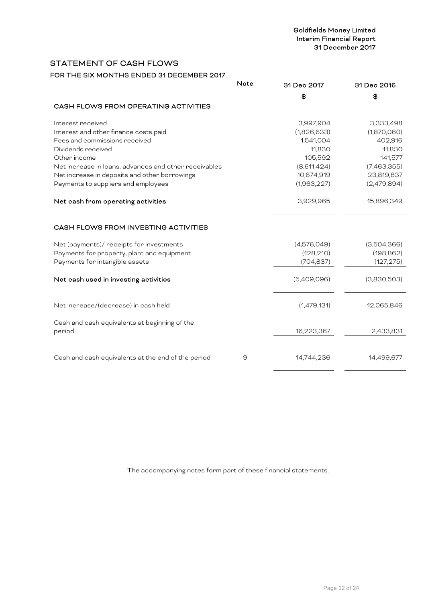## Goldfields Money Limited Interim Financial Report 31 December 2017

## <span id="page-12-0"></span>STATEMENT OF CASH FLOWS

FOR THE SIX MONTHS ENDED 31 DECEMBER 2017

|                                                         | <b>Note</b> | 31 Dec 2017 | 31 Dec 2016 |
|---------------------------------------------------------|-------------|-------------|-------------|
|                                                         |             | \$          | \$          |
| CASH FLOWS FROM OPERATING ACTIVITIES                    |             |             |             |
| Interest received                                       |             | 3,997,904   | 3,333,498   |
| Interest and other finance costs paid                   |             | (1,826,633) | (1,870,060) |
| Fees and commissions received                           |             | 1,541,004   | 402,916     |
| Dividends received                                      |             | 11,830      | 11,830      |
| Other income                                            |             | 105,592     | 141,577     |
| Net increase in loans, advances and other receivables   |             | (8,611,424) | (7,463,355) |
| Net increase in deposits and other borrowings           |             | 10,674,919  | 23,819,837  |
| Payments to suppliers and employees                     |             | (1,963,227) | (2,479,894) |
| Net cash from operating activities                      |             | 3,929,965   | 15,896,349  |
| CASH FLOWS FROM INVESTING ACTIVITIES                    |             |             |             |
| Net (payments)/ receipts for investments                |             | (4,576,049) | (3,504,366) |
| Payments for property, plant and equipment              |             | (128, 210)  | (198, 862)  |
| Payments for intangible assets                          |             | (704, 837)  | (127, 275)  |
| Net cash used in investing activities                   |             | (5,409,096) | (3,830,503) |
| Net increase/(decrease) in cash held                    |             | (1,479,131) | 12,065,846  |
| Cash and cash equivalents at beginning of the<br>period |             | 16,223,367  | 2,433,831   |
| Cash and cash equivalents at the end of the period      | 9           | 14,744,236  | 14,499,677  |

The accompanying notes form part of these financial statements.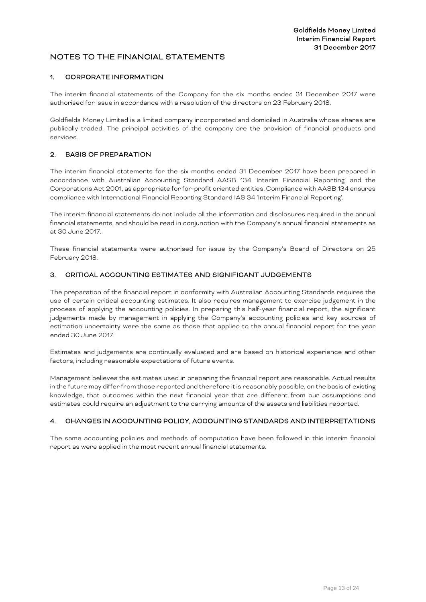#### <span id="page-13-0"></span>1. CORPORATE INFORMATION

The interim financial statements of the Company for the six months ended 31 December 2017 were authorised for issue in accordance with a resolution of the directors on 23 February 2018.

Goldfields Money Limited is a limited company incorporated and domiciled in Australia whose shares are publically traded. The principal activities of the company are the provision of financial products and services.

## 2. BASIS OF PREPARATION

The interim financial statements for the six months ended 31 December 2017 have been prepared in accordance with Australian Accounting Standard AASB 134 'Interim Financial Reporting' and the Corporations Act 2001, as appropriate for for-profit oriented entities. Compliance with AASB 134 ensures compliance with International Financial Reporting Standard IAS 34 'Interim Financial Reporting'.

The interim financial statements do not include all the information and disclosures required in the annual financial statements, and should be read in conjunction with the Company's annual financial statements as at 30 June 2017.

These financial statements were authorised for issue by the Company's Board of Directors on 25 February 2018.

## 3. CRITICAL ACCOUNTING ESTIMATES AND SIGNIFICANT JUDGEMENTS

The preparation of the financial report in conformity with Australian Accounting Standards requires the use of certain critical accounting estimates. It also requires management to exercise judgement in the process of applying the accounting policies. In preparing this half-year financial report, the significant judgements made by management in applying the Company's accounting policies and key sources of estimation uncertainty were the same as those that applied to the annual financial report for the year ended 30 June 2017.

Estimates and judgements are continually evaluated and are based on historical experience and other factors, including reasonable expectations of future events.

Management believes the estimates used in preparing the financial report are reasonable. Actual results in the future may differ from those reported and therefore it is reasonably possible, on the basis of existing knowledge, that outcomes within the next financial year that are different from our assumptions and estimates could require an adjustment to the carrying amounts of the assets and liabilities reported.

## 4. CHANGES IN ACCOUNTING POLICY, ACCOUNTING STANDARDS AND INTERPRETATIONS

The same accounting policies and methods of computation have been followed in this interim financial report as were applied in the most recent annual financial statements.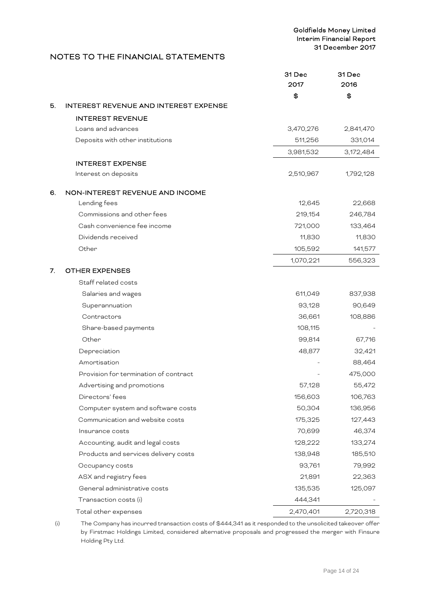|    |                                       | 31 Dec<br>2017 | 31 Dec<br>2016 |
|----|---------------------------------------|----------------|----------------|
|    |                                       | \$             | \$             |
| 5. | INTEREST REVENUE AND INTEREST EXPENSE |                |                |
|    | <b>INTEREST REVENUE</b>               |                |                |
|    | Loans and advances                    | 3,470,276      | 2,841,470      |
|    | Deposits with other institutions      | 511,256        | 331,014        |
|    |                                       | 3,981,532      | 3,172,484      |
|    | <b>INTEREST EXPENSE</b>               |                |                |
|    | Interest on deposits                  | 2,510,967      | 1,792,128      |
| 6. | NON-INTEREST REVENUE AND INCOME       |                |                |
|    | Lending fees                          | 12,645         | 22,668         |
|    | Commissions and other fees            | 219,154        | 246,784        |
|    | Cash convenience fee income           | 721,000        | 133,464        |
|    | Dividends received                    | 11,830         | 11,830         |
|    | Other                                 | 105,592        | 141,577        |
|    |                                       | 1,070,221      | 556,323        |
| 7. | <b>OTHER EXPENSES</b>                 |                |                |
|    | Staff related costs                   |                |                |
|    | Salaries and wages                    | 611,049        | 837,938        |
|    | Superannuation                        | 93,128         | 90,649         |
|    | Contractors                           | 36,661         | 108,886        |
|    | Share-based payments                  | 108,115        |                |
|    | Other                                 | 99,814         | 67,716         |
|    | Depreciation                          | 48,877         | 32,421         |
|    | Amortisation                          |                | 88,464         |
|    | Provision for termination of contract |                | 475,000        |
|    | Advertising and promotions            | 57,128         | 55,472         |
|    | Directors' fees                       | 156,603        | 106,763        |
|    | Computer system and software costs    | 50,304         | 136,956        |
|    | Communication and website costs       | 175,325        | 127,443        |
|    | Insurance costs                       | 70,699         | 46,374         |
|    | Accounting, audit and legal costs     | 128,222        | 133,274        |
|    | Products and services delivery costs  | 138,948        | 185,510        |
|    | Occupancy costs                       | 93,761         | 79,992         |
|    | ASX and registry fees                 | 21,891         | 22,363         |
|    | General administrative costs          | 135,535        | 125,097        |
|    | Transaction costs (i)                 | 444,341        |                |
|    | Total other expenses                  | 2,470,401      | 2,720,318      |

(i) The Company has incurred transaction costs of \$444,341 as it responded to the unsolicited takeover offer by Firstmac Holdings Limited, considered alternative proposals and progressed the merger with Finsure Holding Pty Ltd.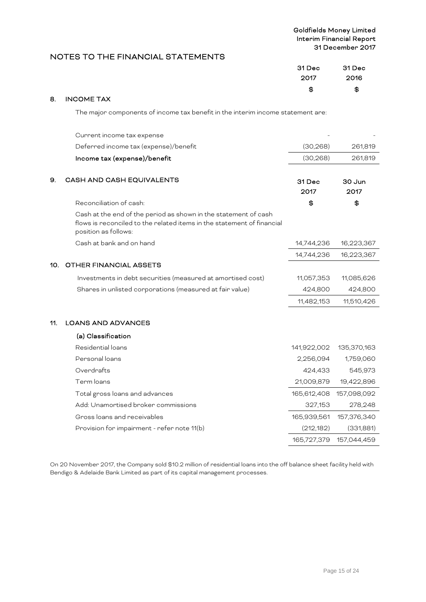| 31 Dec 31 Dec |      |
|---------------|------|
| 2017          | 2016 |
| <b>S</b>      | -\$  |

## 8. INCOME TAX

The major components of income tax benefit in the interim income statement are:

|     | Current income tax expense                                                                                                                                        |             |             |
|-----|-------------------------------------------------------------------------------------------------------------------------------------------------------------------|-------------|-------------|
|     | Deferred income tax (expense)/benefit                                                                                                                             | (30, 268)   | 261,819     |
|     | Income tax (expense)/benefit                                                                                                                                      | (30, 268)   | 261,819     |
|     |                                                                                                                                                                   |             |             |
| 9.  | CASH AND CASH EQUIVALENTS                                                                                                                                         | 31 Dec      | 30 Jun      |
|     |                                                                                                                                                                   | 2017        | 2017        |
|     | Reconciliation of cash:                                                                                                                                           | \$          | \$          |
|     | Cash at the end of the period as shown in the statement of cash<br>flows is reconciled to the related items in the statement of financial<br>position as follows: |             |             |
|     | Cash at bank and on hand                                                                                                                                          | 14,744,236  | 16,223,367  |
|     |                                                                                                                                                                   | 14,744,236  | 16,223,367  |
| 10. | <b>OTHER FINANCIAL ASSETS</b>                                                                                                                                     |             |             |
|     | Investments in debt securities (measured at amortised cost)                                                                                                       | 11,057,353  | 11,085,626  |
|     | Shares in unlisted corporations (measured at fair value)                                                                                                          | 424,800     | 424,800     |
|     |                                                                                                                                                                   | 11,482,153  | 11,510,426  |
|     |                                                                                                                                                                   |             |             |
| 11. | <b>LOANS AND ADVANCES</b>                                                                                                                                         |             |             |
|     | (a) Classification                                                                                                                                                |             |             |
|     | Residential loans                                                                                                                                                 | 141,922,002 | 135,370,163 |
|     | Personal loans                                                                                                                                                    | 2,256,094   | 1,759,060   |
|     | Overdrafts                                                                                                                                                        | 424,433     | 545,973     |
|     | Term loans                                                                                                                                                        | 21,009,879  | 19,422,896  |
|     | Total gross loans and advances                                                                                                                                    | 165,612,408 | 157,098,092 |
|     | Add: Unamortised broker commissions                                                                                                                               | 327,153     | 278,248     |
|     | Gross loans and receivables                                                                                                                                       | 165,939,561 | 157,376,340 |
|     | Provision for impairment - refer note 11(b)                                                                                                                       | (212, 182)  | (331,881)   |
|     |                                                                                                                                                                   | 165,727,379 | 157,044,459 |

On 20 November 2017, the Company sold \$10.2 million of residential loans into the off balance sheet facility held with Bendigo & Adelaide Bank Limited as part of its capital management processes.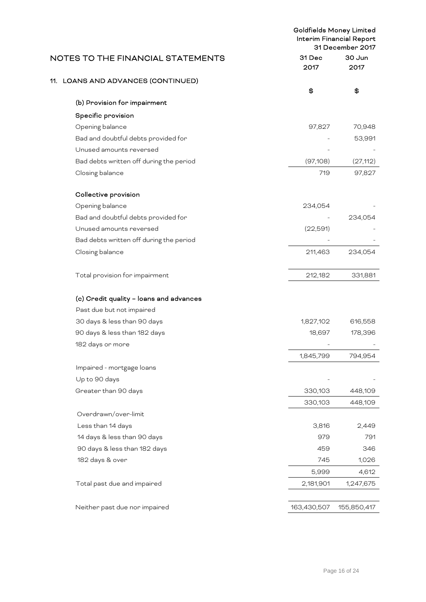|                                         |                | Goldfields Money Limited<br>Interim Financial Report<br>31 December 2017 |
|-----------------------------------------|----------------|--------------------------------------------------------------------------|
| NOTES TO THE FINANCIAL STATEMENTS       | 31 Dec<br>2017 | 30 Jun<br>2017                                                           |
| 11. LOANS AND ADVANCES (CONTINUED)      |                |                                                                          |
|                                         | \$             | \$                                                                       |
| (b) Provision for impairment            |                |                                                                          |
| Specific provision                      |                |                                                                          |
| Opening balance                         | 97,827         | 70,948                                                                   |
| Bad and doubtful debts provided for     |                | 53,991                                                                   |
| Unused amounts reversed                 |                |                                                                          |
| Bad debts written off during the period | (97, 108)      | (27, 112)                                                                |
| Closing balance                         | 719            | 97,827                                                                   |
| Collective provision                    |                |                                                                          |
| Opening balance                         | 234,054        |                                                                          |
| Bad and doubtful debts provided for     |                | 234,054                                                                  |
| Unused amounts reversed                 | (22, 591)      |                                                                          |
| Bad debts written off during the period |                |                                                                          |
| Closing balance                         | 211,463        | 234,054                                                                  |
| Total provision for impairment          | 212,182        | 331,881                                                                  |
| (c) Credit quality - loans and advances |                |                                                                          |
| Past due but not impaired               |                |                                                                          |
| 30 days & less than 90 days             | 1,827,102      | 616,558                                                                  |
| 90 days & less than 182 days            | 18,697         | 178,396                                                                  |
| 182 days or more                        |                |                                                                          |
| Impaired - mortgage loans               | 1,845,799      | 794,954                                                                  |
| Up to 90 days                           |                |                                                                          |
| Greater than 90 days                    | 330,103        | 448,109                                                                  |
|                                         | 330,103        | 448,109                                                                  |
| Overdrawn/over-limit                    |                |                                                                          |
| Less than 14 days                       | 3,816          | 2,449                                                                    |
| 14 days & less than 90 days             | 979            | 791                                                                      |
| 90 days & less than 182 days            | 459            | 346                                                                      |
| 182 days & over                         | 745            | 1,026                                                                    |
|                                         | 5,999          | 4,612                                                                    |
| Total past due and impaired             | 2,181,901      | 1,247,675                                                                |
| Neither past due nor impaired           | 163,430,507    | 155,850,417                                                              |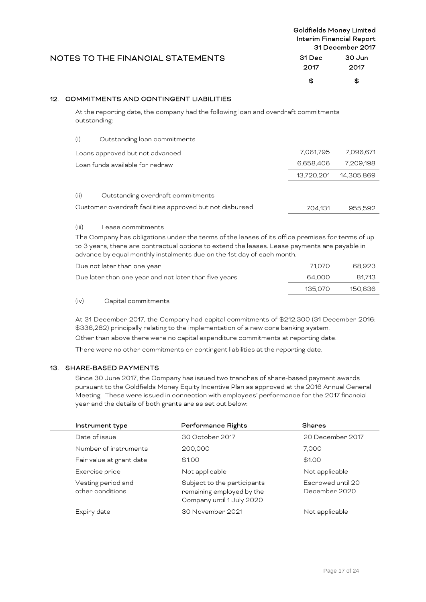Goldfields Money Limited Interim Financial Report 31 December 2017 NOTES TO THE FINANCIAL STATEMENTS 31 Dec 2017 30 Jun 2017  $\clubsuit$  \$

## 12. COMMITMENTS AND CONTINGENT LIABILITIES

At the reporting date, the company had the following loan and overdraft commitments outstanding:

| (i)  | Outstanding loan commitments                             |            |            |
|------|----------------------------------------------------------|------------|------------|
|      | Loans approved but not advanced                          | 7,061,795  | 7,096,671  |
|      | Loan funds available for redraw                          | 6,658,406  | 7,209,198  |
|      |                                                          | 13,720,201 | 14,305,869 |
|      |                                                          |            |            |
| (ii) | Outstanding overdraft commitments                        |            |            |
|      | Customer overdraft facilities approved but not disbursed | 704,131    | 955,592    |
|      |                                                          |            |            |

#### (iii) Lease commitments

The Company has obligations under the terms of the leases of its office premises for terms of up to 3 years, there are contractual options to extend the leases. Lease payments are payable in advance by equal monthly instalments due on the 1st day of each month.

| Due not later than one year                           | 71.070  | 68.923  |
|-------------------------------------------------------|---------|---------|
| Due later than one year and not later than five years | 64.000  | 81.713  |
|                                                       | 135.070 | 150.636 |

(iv) Capital commitments

At 31 December 2017, the Company had capital commitments of \$212,300 (31 December 2016: \$336,282) principally relating to the implementation of a new core banking system.

Other than above there were no capital expenditure commitments at reporting date.

There were no other commitments or contingent liabilities at the reporting date.

#### 13. SHARE-BASED PAYMENTS

Since 30 June 2017, the Company has issued two tranches of share-based payment awards pursuant to the Goldfields Money Equity Incentive Plan as approved at the 2016 Annual General Meeting. These were issued in connection with employees' performance for the 2017 financial year and the details of both grants are as set out below:

| Instrument type                        | Performance Rights                                                                    | <b>Shares</b>                      |
|----------------------------------------|---------------------------------------------------------------------------------------|------------------------------------|
| Date of issue                          | 30 October 2017                                                                       | 20 December 2017                   |
| Number of instruments                  | 200,000                                                                               | 7.000                              |
| Fair value at grant date               | \$1.00                                                                                | \$1.00                             |
| Exercise price                         | Not applicable                                                                        | Not applicable                     |
| Vesting period and<br>other conditions | Subject to the participants<br>remaining employed by the<br>Company until 1 July 2020 | Escrowed until 20<br>December 2020 |
| Expiry date                            | 30 November 2021                                                                      | Not applicable                     |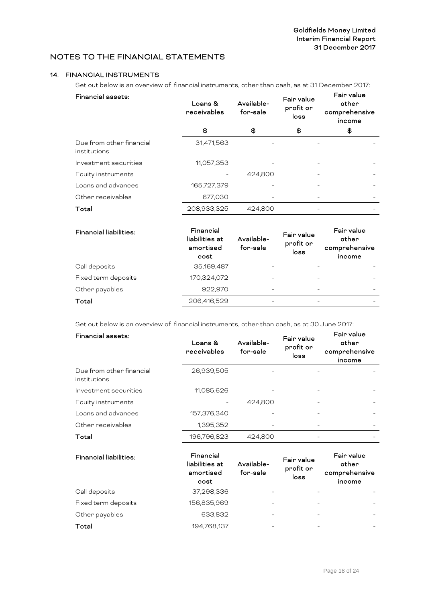## 14. FINANCIAL INSTRUMENTS

Set out below is an overview of financial instruments, other than cash, as at 31 December 2017:

| Financial assets:                        | Loans &<br>receivables | Available-<br>for-sale | Fair value<br>profit or<br>loss | Fair value<br>other<br>comprehensive<br>income |
|------------------------------------------|------------------------|------------------------|---------------------------------|------------------------------------------------|
|                                          | \$                     | \$                     | \$                              | \$                                             |
| Due from other financial<br>institutions | 31,471,563             |                        |                                 |                                                |
| Investment securities                    | 11,057,353             |                        |                                 |                                                |
| Equity instruments                       |                        | 424,800                |                                 |                                                |
| Loans and advances                       | 165,727,379            |                        |                                 |                                                |
| Other receivables                        | 677,030                |                        |                                 |                                                |
| Total                                    | 208,933,325            | 424,800                |                                 |                                                |

| Financial liabilities: | Financial<br>liabilities at<br>amortised<br>cost | Available-<br>for-sale   | Fair value<br>profit or<br>loss | Fair value<br>other<br>comprehensive<br>income |
|------------------------|--------------------------------------------------|--------------------------|---------------------------------|------------------------------------------------|
| Call deposits          | 35,169,487                                       |                          |                                 |                                                |
| Fixed term deposits    | 170,324,072                                      |                          |                                 |                                                |
| Other payables         | 922.970                                          | $\overline{\phantom{a}}$ |                                 |                                                |
| Total                  | 206,416,529                                      |                          |                                 |                                                |

Set out below is an overview of financial instruments, other than cash, as at 30 June 2017:

#### Financial assets:

| Financial assets:                        | Loans &<br>receivables | Available-<br>for-sale | Fair value<br>profit or<br>loss | Fair value<br>other<br>comprehensive<br>income |
|------------------------------------------|------------------------|------------------------|---------------------------------|------------------------------------------------|
| Due from other financial<br>institutions | 26,939,505             |                        |                                 |                                                |
| Investment securities                    | 11,085,626             |                        |                                 |                                                |
| Equity instruments                       |                        | 424,800                |                                 |                                                |
| Loans and advances                       | 157,376,340            |                        |                                 |                                                |
| Other receivables                        | 1,395,352              |                        |                                 |                                                |
| Total                                    | 196.796.823            | 424.800                |                                 |                                                |

| Financial liabilities: | Financial<br>liabilities at<br>amortised<br>cost | Available-<br>for-sale | Fair value<br>profit or<br>loss | Fair value<br>other<br>comprehensive<br>income |
|------------------------|--------------------------------------------------|------------------------|---------------------------------|------------------------------------------------|
| Call deposits          | 37,298,336                                       |                        |                                 |                                                |
| Fixed term deposits    | 156,835,969                                      |                        |                                 |                                                |
| Other payables         | 633,832                                          | ۰                      |                                 |                                                |
| Total                  | 194,768,137                                      |                        |                                 |                                                |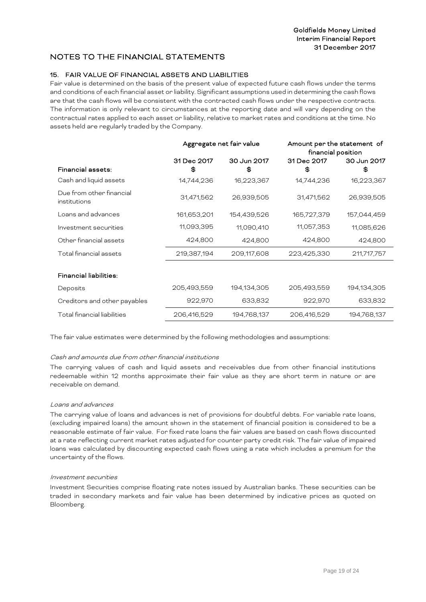## 15. FAIR VALUE OF FINANCIAL ASSETS AND LIABILITIES

Fair value is determined on the basis of the present value of expected future cash flows under the terms and conditions of each financial asset or liability. Significant assumptions used in determining the cash flows are that the cash flows will be consistent with the contracted cash flows under the respective contracts. The information is only relevant to circumstances at the reporting date and will vary depending on the contractual rates applied to each asset or liability, relative to market rates and conditions at the time. No assets held are regularly traded by the Company.

|                                          | Aggregate net fair value |                   |                  | Amount per the statement of<br>financial position |  |
|------------------------------------------|--------------------------|-------------------|------------------|---------------------------------------------------|--|
| Financial assets:                        | 31 Dec 2017<br>\$        | 30 Jun 2017<br>\$ | 31 Dec 2017<br>S | 30 Jun 2017<br>\$                                 |  |
| Cash and liquid assets                   | 14,744,236               | 16,223,367        | 14,744,236       | 16,223,367                                        |  |
| Due from other financial<br>institutions | 31,471,562               | 26,939,505        | 31,471,562       | 26,939,505                                        |  |
| Loans and advances                       | 161,653,201              | 154,439,526       | 165,727,379      | 157,044,459                                       |  |
| Investment securities                    | 11,093,395               | 11,090,410        | 11,057,353       | 11,085,626                                        |  |
| Other financial assets                   | 424,800                  | 424,800           | 424,800          | 424,800                                           |  |
| Total financial assets                   | 219,387,194              | 209,117,608       | 223,425,330      | 211,717,757                                       |  |
| Financial liabilities:                   |                          |                   |                  |                                                   |  |
| Deposits                                 | 205,493,559              | 194,134,305       | 205,493,559      | 194,134,305                                       |  |
| Creditors and other payables             | 922,970                  | 633,832           | 922,970          | 633,832                                           |  |
| Total financial liabilities              | 206,416,529              | 194,768,137       | 206,416,529      | 194,768,137                                       |  |

The fair value estimates were determined by the following methodologies and assumptions:

#### Cash and amounts due from other financial institutions

The carrying values of cash and liquid assets and receivables due from other financial institutions redeemable within 12 months approximate their fair value as they are short term in nature or are receivable on demand.

#### Loans and advances

The carrying value of loans and advances is net of provisions for doubtful debts. For variable rate loans, (excluding impaired loans) the amount shown in the statement of financial position is considered to be a reasonable estimate of fair value. For fixed rate loans the fair values are based on cash flows discounted at a rate reflecting current market rates adjusted for counter party credit risk. The fair value of impaired loans was calculated by discounting expected cash flows using a rate which includes a premium for the uncertainty of the flows.

#### Investment securities

Investment Securities comprise floating rate notes issued by Australian banks. These securities can be traded in secondary markets and fair value has been determined by indicative prices as quoted on Bloomberg.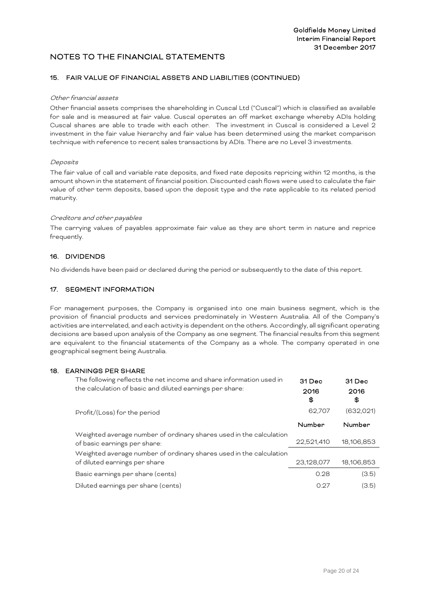#### 15. FAIR VALUE OF FINANCIAL ASSETS AND LIABILITIES (CONTINUED)

#### Other financial assets

Other financial assets comprises the shareholding in Cuscal Ltd ("Cuscal") which is classified as available for sale and is measured at fair value. Cuscal operates an off market exchange whereby ADIs holding Cuscal shares are able to trade with each other. The investment in Cuscal is considered a Level 2 investment in the fair value hierarchy and fair value has been determined using the market comparison technique with reference to recent sales transactions by ADIs. There are no Level 3 investments.

#### **Deposits**

The fair value of call and variable rate deposits, and fixed rate deposits repricing within 12 months, is the amount shown in the statement of financial position. Discounted cash flows were used to calculate the fair value of other term deposits, based upon the deposit type and the rate applicable to its related period maturity.

#### Creditors and other payables

The carrying values of payables approximate fair value as they are short term in nature and reprice frequently.

## 16. DIVIDENDS

No dividends have been paid or declared during the period or subsequently to the date of this report.

#### 17. SEGMENT INFORMATION

For management purposes, the Company is organised into one main business segment, which is the provision of financial products and services predominately in Western Australia. All of the Company's activities are interrelated, and each activity is dependent on the others. Accordingly, all significant operating decisions are based upon analysis of the Company as one segment. The financial results from this segment are equivalent to the financial statements of the Company as a whole. The company operated in one geographical segment being Australia.

#### 18. EARNINGS PER SHARE

| The following reflects the net income and share information used in<br>the calculation of basic and diluted earnings per share: | 31 Dec<br>2016<br>S | 31 Dec<br>2016<br>\$ |
|---------------------------------------------------------------------------------------------------------------------------------|---------------------|----------------------|
| Profit/(Loss) for the period                                                                                                    | 62,707              | (632,021)            |
|                                                                                                                                 | Number              | Number               |
| Weighted average number of ordinary shares used in the calculation<br>of basic earnings per share:                              | 22,521,410          | 18,106,853           |
| Weighted average number of ordinary shares used in the calculation<br>of diluted earnings per share                             | 23,128,077          | 18,106,853           |
| Basic earnings per share (cents)                                                                                                | 0.28                | (3.5)                |
| Diluted earnings per share (cents)                                                                                              | 0.27                | (3.5)                |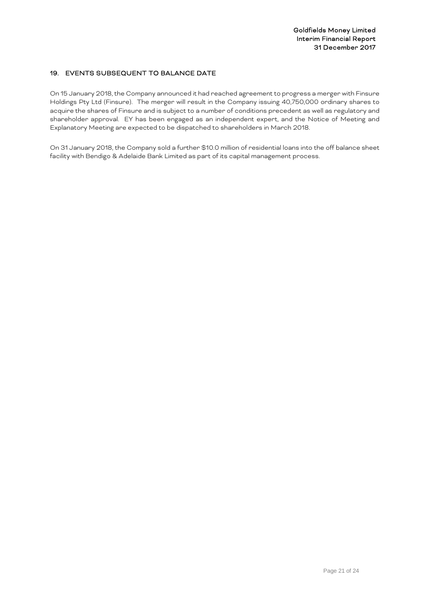## 19. EVENTS SUBSEQUENT TO BALANCE DATE

On 15 January 2018, the Company announced it had reached agreement to progress a merger with Finsure Holdings Pty Ltd (Finsure). The merger will result in the Company issuing 40,750,000 ordinary shares to acquire the shares of Finsure and is subject to a number of conditions precedent as well as regulatory and shareholder approval. EY has been engaged as an independent expert, and the Notice of Meeting and Explanatory Meeting are expected to be dispatched to shareholders in March 2018.

On 31 January 2018, the Company sold a further \$10.0 million of residential loans into the off balance sheet facility with Bendigo & Adelaide Bank Limited as part of its capital management process.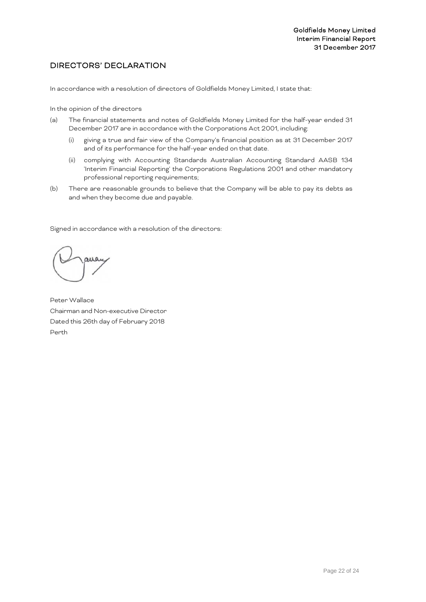## <span id="page-22-0"></span>DIRECTORS' DECLARATION

In accordance with a resolution of directors of Goldfields Money Limited, I state that:

In the opinion of the directors

- (a) The financial statements and notes of Goldfields Money Limited for the half-year ended 31 December 2017 are in accordance with the Corporations Act 2001, including:
	- (i) giving a true and fair view of the Company's financial position as at 31 December 2017 and of its performance for the half-year ended on that date.
	- (ii) complying with Accounting Standards Australian Accounting Standard AASB 134 'Interim Financial Reporting' the Corporations Regulations 2001 and other mandatory professional reporting requirements;
- (b) There are reasonable grounds to believe that the Company will be able to pay its debts as and when they become due and payable.

Signed in accordance with a resolution of the directors:

Peter Wallace Chairman and Non-executive Director Dated this 26th day of February 2018 Perth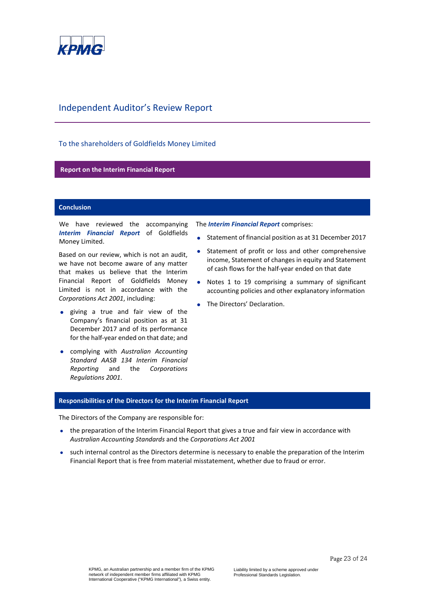

## Independent Auditor's Review Report

## To the shareholders of Goldfields Money Limited

#### **Report on the Interim Financial Report**

#### **Conclusion**

We have reviewed the accompanying *Interim Financial Report* of Goldfields Money Limited.

Based on our review, which is not an audit, we have not become aware of any matter that makes us believe that the Interim Financial Report of Goldfields Money Limited is not in accordance with the *Corporations Act 2001*, including:

- giving a true and fair view of the Company's financial position as at 31 December 2017 and of its performance for the half-year ended on that date; and
- complying with *Australian Accounting Standard AASB 134 Interim Financial Reporting* and the *Corporations Regulations 2001*.

The *Interim Financial Report* comprises:

- Statement of financial position as at 31 December 2017
- Statement of profit or loss and other comprehensive income, Statement of changes in equity and Statement of cash flows for the half-year ended on that date
- Notes 1 to 19 comprising a summary of significant accounting policies and other explanatory information
- The Directors' Declaration.

## **Responsibilities of the Directors for the Interim Financial Report**

The Directors of the Company are responsible for:

- the preparation of the Interim Financial Report that gives a true and fair view in accordance with *Australian Accounting Standards* and the *Corporations Act 2001*
- such internal control as the Directors determine is necessary to enable the preparation of the Interim Financial Report that is free from material misstatement, whether due to fraud or error.